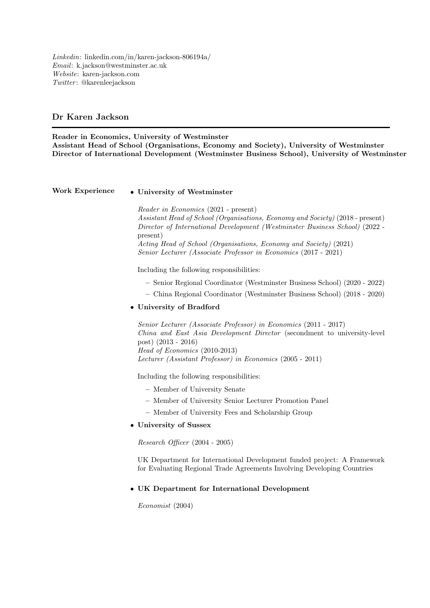Linkedin: linkedin.com/in/karen-jackson-806194a/ Email: k.jackson@westminster.ac.uk Website: karen-jackson.com Twitter: @karenleejackson

## Dr Karen Jackson

Reader in Economics, University of Westminster

Assistant Head of School (Organisations, Economy and Society), University of Westminster Director of International Development (Westminster Business School), University of Westminster

### Work Experience • University of Westminster

Reader in Economics (2021 - present) Assistant Head of School (Organisations, Economy and Society) (2018 - present) Director of International Development (Westminster Business School) (2022 present) Acting Head of School (Organisations, Economy and Society) (2021) Senior Lecturer (Associate Professor in Economics (2017 - 2021)

Including the following responsibilities:

- Senior Regional Coordinator (Westminster Business School) (2020 2022)
- China Regional Coordinator (Westminster Business School) (2018 2020)

#### • University of Bradford

Senior Lecturer (Associate Professor) in Economics (2011 - 2017) China and East Asia Development Director (secondment to university-level post) (2013 - 2016) Head of Economics (2010-2013) Lecturer (Assistant Professor) in Economics (2005 - 2011)

Including the following responsibilities:

- Member of University Senate
- Member of University Senior Lecturer Promotion Panel
- Member of University Fees and Scholarship Group
- University of Sussex

Research Officer (2004 - 2005)

UK Department for International Development funded project: A Framework for Evaluating Regional Trade Agreements Involving Developing Countries

## • UK Department for International Development

Economist (2004)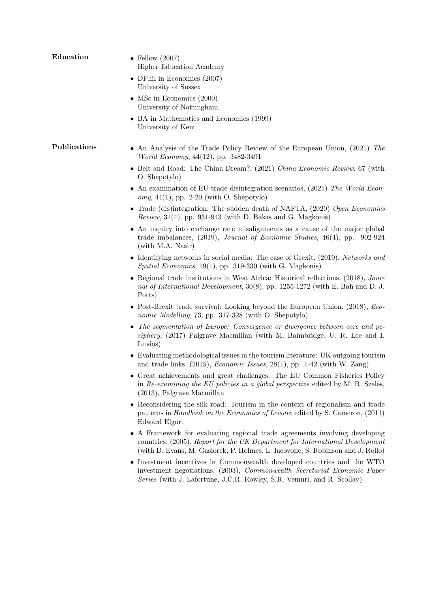| Education    | $\bullet$ Fellow (2007)<br>Higher Education Academy                                                                                                                                                                                            |
|--------------|------------------------------------------------------------------------------------------------------------------------------------------------------------------------------------------------------------------------------------------------|
|              | • DPhil in Economics $(2007)$<br>University of Sussex                                                                                                                                                                                          |
|              | • MSc in Economics $(2000)$<br>University of Nottingham                                                                                                                                                                                        |
|              | • BA in Mathematics and Economics (1999)<br>University of Kent                                                                                                                                                                                 |
| Publications | • An Analysis of the Trade Policy Review of the European Union, (2021) The<br><i>World Economy</i> , 44(12), pp. 3482-3491                                                                                                                     |
|              | • Belt and Road: The China Dream?, $(2021)$ China Economic Review, 67 (with<br>O. Shepotylo)                                                                                                                                                   |
|              | • An examination of EU trade disintegration scenarios, $(2021)$ The World Econ-<br>$omy, 44(1), pp. 2-20$ (with O. Shepotylo)                                                                                                                  |
|              | • Trade (dis)integration: The sudden death of NAFTA, $(2020)$ Open Economies<br>$Review, 31(4), pp. 931-943$ (with D. Bakas and G. Magkonis)                                                                                                   |
|              | • An inquiry into exchange rate misalignments as a cause of the major global<br>trade imbalances, $(2019)$ , Journal of Economic Studies, $46(4)$ , pp. 902-924<br>(with M.A. Nasir)                                                           |
|              | • Identifying networks in social media: The case of Grexit, $(2019)$ , Networks and<br><i>Spatial Economics</i> , $19(1)$ , pp. 319-330 (with G. Magkonis)                                                                                     |
|              | • Regional trade institutions in West Africa: Historical reflections, $(2018)$ , Jour-<br>nal of International Development, $30(8)$ , pp. 1255-1272 (with E. Bah and D. J.<br>Potts)                                                           |
|              | • Post-Brexit trade survival: Looking beyond the European Union, $(2018)$ , <i>Eco</i> -<br>nomic Modelling, 73, pp. 317-328 (with O. Shepotylo)                                                                                               |
|              | • The segmentation of Europe: Convergence or divergence between core and pe-<br>riphery, (2017) Palgrave Macmillan (with M. Baimbridge, U. R. Lee and I.<br>Litsios)                                                                           |
|              | • Evaluating methodological issues in the tourism literature: UK outgoing tourism<br>and trade links, $(2015)$ , <i>Economic Issues</i> , $28(1)$ , pp. 1-42 (with W. Zang)                                                                    |
|              | • Great achievements and great challenges: The EU Common Fisheries Policy<br>in Re-examining the EU policies in a global perspective edited by M. R. Szeles,<br>$(2013)$ , Palgrave Macmillan                                                  |
|              | • Reconsidering the silk road: Tourism in the context of regionalism and trade<br>patterns in <i>Handbook on the Economics of Leisure</i> edited by S. Cameron, (2011)<br>Edward Elgar.                                                        |
|              | • A Framework for evaluating regional trade agreements involving developing<br>countries, (2005), Report for the UK Department for International Development<br>(with D. Evans, M. Gasiorek, P. Holmes, L. Iacovone, S. Robinson and J. Rollo) |
|              | • Investment incentives in Commonwealth developed countries and the WTO<br>investment negotiations, (2003), Commonwealth Secretariat Economic Paper<br>Series (with J. Lafortune, J.C.R. Rowley, S.R. Vemuri, and R. Scollay)                  |
|              |                                                                                                                                                                                                                                                |
|              |                                                                                                                                                                                                                                                |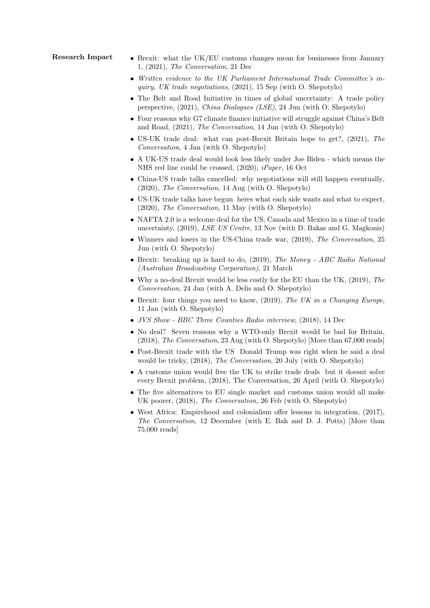# Research Impact • Brexit: what the UK/EU customs changes mean for businesses from January 1, (2021), The Conversation, 21 Dec

- Written evidence to the UK Parliament International Trade Committee's inquiry, UK trade negotiations, (2021), 15 Sep (with O. Shepotylo)
- The Belt and Road Initiative in times of global uncertainty: A trade policy perspective, (2021), China Dialogues (LSE), 24 Jun (with O. Shepotylo)
- Four reasons why G7 climate finance initiative will struggle against China's Belt and Road, (2021), The Conversation, 14 Jun (with O. Shepotylo)
- US-UK trade deal: what can post-Brexit Britain hope to get?, (2021), The Conversation, 4 Jan (with O. Shepotylo)
- A UK-US trade deal would look less likely under Joe Biden which means the NHS red line could be crossed, (2020), iPaper, 16 Oct
- China-US trade talks cancelled: why negotiations will still happen eventually, (2020), The Conversation, 14 Aug (with O. Shepotylo)
- US-UK trade talks have begun heres what each side wants and what to expect, (2020), The Conversation, 11 May (with O. Shepotylo)
- NAFTA 2.0 is a welcome deal for the US, Canada and Mexico in a time of trade uncertainty, (2019), LSE US Centre, 13 Nov (with D. Bakas and G. Magkonis)
- Winners and losers in the US-China trade war, (2019), The Conversation, 25 Jun (with O. Shepotylo)
- Brexit: breaking up is hard to do, (2019), The Money ABC Radio National (Australian Broadcasting Corporation), 21 March
- Why a no-deal Brexit would be less costly for the EU than the UK,  $(2019)$ , The Conversation, 24 Jan (with A. Delis and O. Shepotylo)
- Brexit: four things you need to know,  $(2019)$ , The UK in a Changing Europe, 11 Jan (with O. Shepotylo)
- JVS Show BBC Three Counties Radio interview, (2018), 14 Dec
- No deal? Seven reasons why a WTO-only Brexit would be bad for Britain, (2018), The Conversation, 23 Aug (with O. Shepotylo) [More than 67,000 reads]
- Post-Brexit trade with the US Donald Trump was right when he said a deal would be tricky, (2018), The Conversation, 20 July (with O. Shepotylo)
- A customs union would free the UK to strike trade deals but it doesnt solve every Brexit problem, (2018), The Conversation, 26 April (with O. Shepotylo)
- The five alternatives to EU single market and customs union would all make UK poorer, (2018), The Conversation, 26 Feb (with O. Shepotylo)
- West Africa: Empirehood and colonialism offer lessons in integration, (2017). The Conversation, 12 December (with E. Bah and D. J. Potts) [More than 75,000 reads]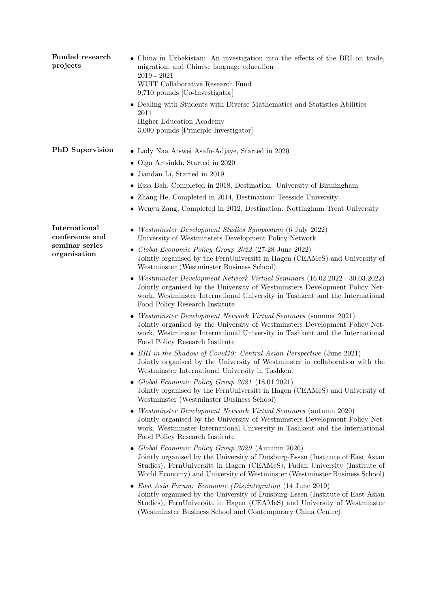| <b>Funded research</b><br>projects | • China in Uzbekistan: An investigation into the effects of the BRI on trade,<br>migration, and Chinese language education<br>$2019 - 2021$<br>WUIT Collaborative Research Fund<br>9,710 pounds [Co-Investigator]<br>$\bullet\,$ Dealing with Students with Diverse Mathematics and Statistics Abilities<br>2011<br>Higher Education Academy<br>3,000 pounds [Principle Investigator] |
|------------------------------------|---------------------------------------------------------------------------------------------------------------------------------------------------------------------------------------------------------------------------------------------------------------------------------------------------------------------------------------------------------------------------------------|
| <b>PhD</b> Supervision             | • Lady Naa Atswei Asafu-Adjaye, Started in 2020                                                                                                                                                                                                                                                                                                                                       |
|                                    | • Olga Artsiukh, Started in 2020                                                                                                                                                                                                                                                                                                                                                      |
|                                    | • Jiandan Li, Started in 2019                                                                                                                                                                                                                                                                                                                                                         |
|                                    | • Essa Bah, Completed in 2018, Destination: University of Birmingham                                                                                                                                                                                                                                                                                                                  |
|                                    | • Zhang He, Completed in 2014, Destination: Teesside University                                                                                                                                                                                                                                                                                                                       |
|                                    | • Wenyu Zang, Completed in 2012, Destination: Nottingham Trent University                                                                                                                                                                                                                                                                                                             |
| International<br>conference and    | <i>Westminster Development Studies Symposium</i> (6 July 2022)<br>University of Westminsters Development Policy Network                                                                                                                                                                                                                                                               |
| seminar series<br>organisation     | • Global Economic Policy Group 2022 (27-28 June 2022)<br>Jointly organised by the FernUniversitt in Hagen (CEAMeS) and University of<br>Westminster (Westminster Business School)                                                                                                                                                                                                     |
|                                    | Westminster Development Network Virtual Seminars (16.02.2022 - 30.03.2022)<br>Jointly organised by the University of Westminsters Development Policy Net-<br>work, Westminster International University in Tashkent and the International<br>Food Policy Research Institute                                                                                                           |
|                                    | • Westminster Development Network Virtual Seminars (summer 2021)<br>Jointly organised by the University of Westminsters Development Policy Net-<br>work, Westminster International University in Tashkent and the International<br>Food Policy Research Institute                                                                                                                     |
|                                    | • BRI in the Shadow of Covid19: Central Asian Perspective (June 2021)<br>Jointly organised by the University of Westminster in collaboration with the<br>Westminster International University in Tashkent                                                                                                                                                                             |
|                                    | • Global Economic Policy Group $2021$ (18.01.2021)<br>Jointly organised by the FernUniversitt in Hagen (CEAMeS) and University of<br>Westminster (Westminster Business School)                                                                                                                                                                                                        |
|                                    | • Westminster Development Network Virtual Seminars (autumn 2020)<br>Jointly organised by the University of Westminsters Development Policy Net-<br>work, Westminster International University in Tashkent and the International<br>Food Policy Research Institute                                                                                                                     |
|                                    | • Global Economic Policy Group 2020 (Autumn 2020)                                                                                                                                                                                                                                                                                                                                     |

Jointly organised by the University of Duisburg-Essen (Institute of East Asian Studies), FernUniversitt in Hagen (CEAMeS), Fudan University (Institute of World Economy) and University of Westminster (Westminster Business School)

• East Asia Forum: Economic (Dis)integration (14 June 2019) Jointly organised by the University of Duisburg-Essen (Institute of East Asian Studies), FernUniversitt in Hagen (CEAMeS) and University of Westminster (Westminster Business School and Contemporary China Centre)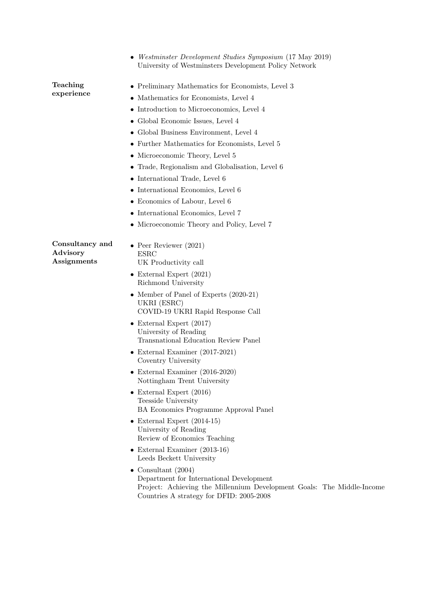|                                            | <i>Westminster Development Studies Symposium</i> (17 May 2019)<br>University of Westminsters Development Policy Network                                                                                                                                                                                                                                                                                                                                                                                                                                     |
|--------------------------------------------|-------------------------------------------------------------------------------------------------------------------------------------------------------------------------------------------------------------------------------------------------------------------------------------------------------------------------------------------------------------------------------------------------------------------------------------------------------------------------------------------------------------------------------------------------------------|
| Teaching<br>experience                     | • Preliminary Mathematics for Economists, Level 3<br>• Mathematics for Economists, Level 4<br>• Introduction to Microeconomics, Level 4<br>• Global Economic Issues, Level 4<br>• Global Business Environment, Level 4<br>• Further Mathematics for Economists, Level 5<br>• Microeconomic Theory, Level 5<br>• Trade, Regionalism and Globalisation, Level 6<br>• International Trade, Level 6<br>• International Economics, Level 6<br>• Economics of Labour, Level 6<br>• International Economics, Level 7<br>• Microeconomic Theory and Policy, Level 7 |
| Consultancy and<br>Advisory<br>Assignments | • Peer Reviewer $(2021)$<br><b>ESRC</b><br>UK Productivity call<br>$\bullet$ External Expert (2021)<br>Richmond University<br>• Member of Panel of Experts $(2020-21)$<br>UKRI (ESRC)<br>COVID-19 UKRI Rapid Response Call<br>• External Expert $(2017)$<br>University of Reading<br>Transnational Education Review Panel<br>$\bullet$ External Examiner (2017-2021)                                                                                                                                                                                        |
|                                            | Coventry University<br>$\bullet$ External Examiner (2016-2020)<br>Nottingham Trent University<br>$\bullet$ External Expert (2016)<br>Teesside University<br>BA Economics Programme Approval Panel<br>• External Expert $(2014-15)$<br>University of Reading<br>Review of Economics Teaching<br>$\bullet$ External Examiner (2013-16)<br>Leeds Beckett University<br>• Consultant $(2004)$<br>Department for International Development<br>Project: Achieving the Millennium Development Goals: The Middle-Income<br>Countries A strategy for DFID: 2005-2008 |